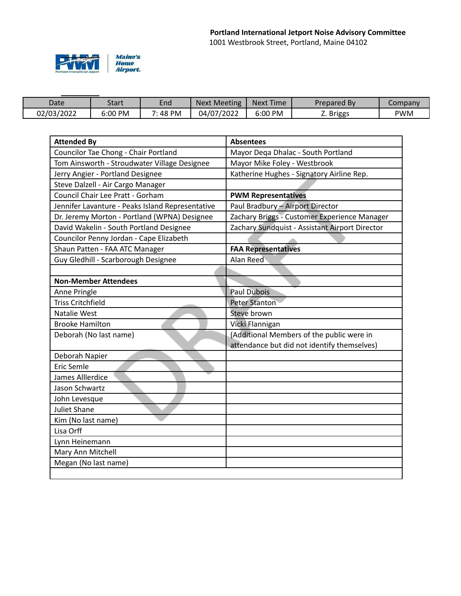

| Date       | Start             | End   | <b>Next Meeting</b> | <b>Next Time</b> | Prepared By | company         |
|------------|-------------------|-------|---------------------|------------------|-------------|-----------------|
| 02/03/2022 | <b>PM</b><br>00:د | 48 PM | 04/07/2022          | 6:00 PM          | Z. Briggs   | <sup>o</sup> WM |

| <b>Attended By</b>                               | <b>Absentees</b>                               |  |  |
|--------------------------------------------------|------------------------------------------------|--|--|
| Councilor Tae Chong - Chair Portland             | Mayor Dega Dhalac - South Portland             |  |  |
| Tom Ainsworth - Stroudwater Village Designee     | Mayor Mike Foley - Westbrook                   |  |  |
| Jerry Angier - Portland Designee                 | Katherine Hughes - Signatory Airline Rep.      |  |  |
| Steve Dalzell - Air Cargo Manager                |                                                |  |  |
| Council Chair Lee Pratt - Gorham                 | <b>PWM Representatives</b>                     |  |  |
| Jennifer Lavanture - Peaks Island Representative | Paul Bradbury - Airport Director               |  |  |
| Dr. Jeremy Morton - Portland (WPNA) Designee     | Zachary Briggs - Customer Experience Manager   |  |  |
| David Wakelin - South Portland Designee          | Zachary Sundquist - Assistant Airport Director |  |  |
| Councilor Penny Jordan - Cape Elizabeth          |                                                |  |  |
| Shaun Patten - FAA ATC Manager                   | <b>FAA Representatives</b>                     |  |  |
| Guy Gledhill - Scarborough Designee              | Alan Reed                                      |  |  |
|                                                  |                                                |  |  |
| <b>Non-Member Attendees</b>                      |                                                |  |  |
| Anne Pringle                                     | <b>Paul Dubois</b>                             |  |  |
| <b>Triss Critchfield</b>                         | <b>Peter Stanton</b>                           |  |  |
| Natalie West                                     | Steve brown                                    |  |  |
| <b>Brooke Hamilton</b>                           | Vicki Flannigan                                |  |  |
| Deborah (No last name)                           | (Additional Members of the public were in      |  |  |
|                                                  | attendance but did not identify themselves)    |  |  |
| Deborah Napier                                   |                                                |  |  |
| <b>Eric Semle</b>                                |                                                |  |  |
| James Alllerdice                                 |                                                |  |  |
| Jason Schwartz                                   |                                                |  |  |
| John Levesque                                    |                                                |  |  |
| <b>Juliet Shane</b>                              |                                                |  |  |
| Kim (No last name)                               |                                                |  |  |
| Lisa Orff                                        |                                                |  |  |
| Lynn Heinemann                                   |                                                |  |  |
| Mary Ann Mitchell                                |                                                |  |  |
| Megan (No last name)                             |                                                |  |  |
|                                                  |                                                |  |  |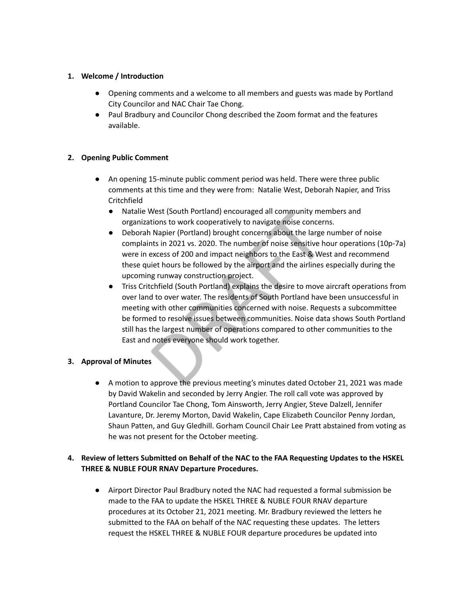## **1. Welcome / Introduction**

- **●** Opening comments and a welcome to all members and guests was made by Portland City Councilor and NAC Chair Tae Chong.
- Paul Bradbury and Councilor Chong described the Zoom format and the features available.

# **2. Opening Public Comment**

- An opening 15-minute public comment period was held. There were three public comments at this time and they were from: Natalie West, Deborah Napier, and Triss Critchfield
	- Natalie West (South Portland) encouraged all community members and organizations to work cooperatively to navigate noise concerns.
	- Deborah Napier (Portland) brought concerns about the large number of noise complaints in 2021 vs. 2020. The number of noise sensitive hour operations (10p-7a) were in excess of 200 and impact neighbors to the East & West and recommend these quiet hours be followed by the airport and the airlines especially during the upcoming runway construction project.
	- Triss Critchfield (South Portland) explains the desire to move aircraft operations from over land to over water. The residents of South Portland have been unsuccessful in meeting with other communities concerned with noise. Requests a subcommittee be formed to resolve issues between communities. Noise data shows South Portland still has the largest number of operations compared to other communities to the East and notes everyone should work together.

### **3. Approval of Minutes**

● A motion to approve the previous meeting's minutes dated October 21, 2021 was made by David Wakelin and seconded by Jerry Angier. The roll call vote was approved by Portland Councilor Tae Chong, Tom Ainsworth, Jerry Angier, Steve Dalzell, Jennifer Lavanture, Dr. Jeremy Morton, David Wakelin, Cape Elizabeth Councilor Penny Jordan, Shaun Patten, and Guy Gledhill. Gorham Council Chair Lee Pratt abstained from voting as he was not present for the October meeting.

# **4. Review of letters Submitted on Behalf of the NAC to the FAA Requesting Updates to the HSKEL THREE & NUBLE FOUR RNAV Departure Procedures.**

● Airport Director Paul Bradbury noted the NAC had requested a formal submission be made to the FAA to update the HSKEL THREE & NUBLE FOUR RNAV departure procedures at its October 21, 2021 meeting. Mr. Bradbury reviewed the letters he submitted to the FAA on behalf of the NAC requesting these updates. The letters request the HSKEL THREE & NUBLE FOUR departure procedures be updated into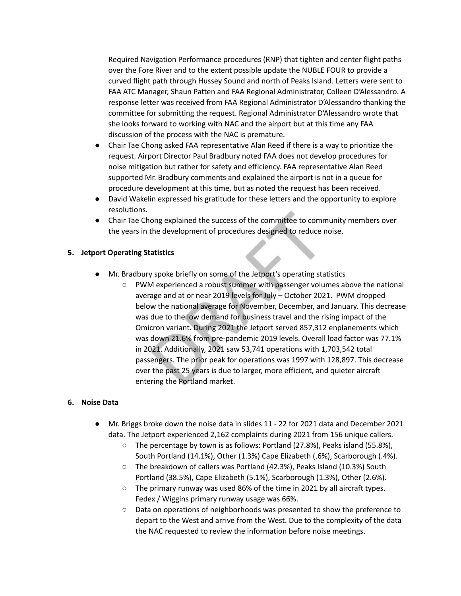Required Navigation Performance procedures (RNP) that tighten and center flight paths over the Fore River and to the extent possible update the NUBLE FOUR to provide a curved flight path through Hussey Sound and north of Peaks Island. Letters were sent to FAA ATC Manager, Shaun Patten and FAA Regional Administrator, Colleen D'Alessandro. A response letter was received from FAA Regional Administrator D'Alessandro thanking the committee for submitting the request. Regional Administrator D'Alessandro wrote that she looks forward to working with NAC and the airport but at this time any FAA discussion of the process with the NAC is premature.

- Chair Tae Chong asked FAA representative Alan Reed if there is a way to prioritize the request. Airport Director Paul Bradbury noted FAA does not develop procedures for noise mitigation but rather for safety and efficiency. FAA representative Alan Reed supported Mr. Bradbury comments and explained the airport is not in a queue for procedure development at this time, but as noted the request has been received.
- David Wakelin expressed his gratitude for these letters and the opportunity to explore resolutions.
- Chair Tae Chong explained the success of the committee to community members over the years in the development of procedures designed to reduce noise.

## **5. Jetport Operating Statistics**

- Mr. Bradbury spoke briefly on some of the Jetport's operating statistics
	- PWM experienced a robust summer with passenger volumes above the national average and at or near 2019 levels for July – October 2021. PWM dropped below the national average for November, December, and January. This decrease was due to the low demand for business travel and the rising impact of the Omicron variant. During 2021 the Jetport served 857,312 enplanements which was down 21.6% from pre-pandemic 2019 levels. Overall load factor was 77.1% in 2021. Additionally, 2021 saw 53,741 operations with 1,703,542 total passengers. The prior peak for operations was 1997 with 128,897. This decrease over the past 25 years is due to larger, more efficient, and quieter aircraft entering the Portland market.

### **6. Noise Data**

- Mr. Briggs broke down the noise data in slides 11 22 for 2021 data and December 2021 data. The Jetport experienced 2,162 complaints during 2021 from 156 unique callers.
	- The percentage by town is as follows: Portland (27.8%), Peaks island (55.8%), South Portland (14.1%), Other (1.3%) Cape Elizabeth (.6%), Scarborough (.4%).
	- The breakdown of callers was Portland (42.3%), Peaks Island (10.3%) South Portland (38.5%), Cape Elizabeth (5.1%), Scarborough (1.3%), Other (2.6%).
	- The primary runway was used 86% of the time in 2021 by all aircraft types. Fedex / Wiggins primary runway usage was 66%.
	- Data on operations of neighborhoods was presented to show the preference to depart to the West and arrive from the West. Due to the complexity of the data the NAC requested to review the information before noise meetings.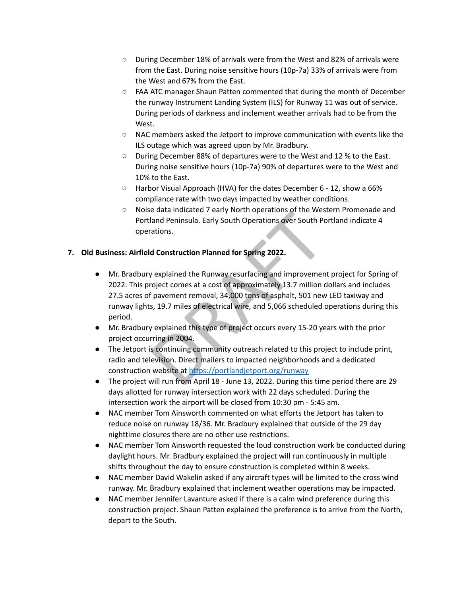- During December 18% of arrivals were from the West and 82% of arrivals were from the East. During noise sensitive hours (10p-7a) 33% of arrivals were from the West and 67% from the East.
- FAA ATC manager Shaun Patten commented that during the month of December the runway Instrument Landing System (ILS) for Runway 11 was out of service. During periods of darkness and inclement weather arrivals had to be from the West.
- NAC members asked the Jetport to improve communication with events like the ILS outage which was agreed upon by Mr. Bradbury.
- During December 88% of departures were to the West and 12 % to the East. During noise sensitive hours (10p-7a) 90% of departures were to the West and 10% to the East.
- Harbor Visual Approach (HVA) for the dates December 6 12, show a 66% compliance rate with two days impacted by weather conditions.
- Noise data indicated 7 early North operations of the Western Promenade and Portland Peninsula. Early South Operations over South Portland indicate 4 operations.

# **7. Old Business: Airfield Construction Planned for Spring 2022.**

- Mr. Bradbury explained the Runway resurfacing and improvement project for Spring of 2022. This project comes at a cost of approximately 13.7 million dollars and includes 27.5 acres of pavement removal, 34,000 tons of asphalt, 501 new LED taxiway and runway lights, 19.7 miles of electrical wire, and 5,066 scheduled operations during this period.
- Mr. Bradbury explained this type of project occurs every 15-20 years with the prior project occurring in 2004.
- The Jetport is continuing community outreach related to this project to include print, radio and television. Direct mailers to impacted neighborhoods and a dedicated construction website at <https://portlandjetport.org/runway>
- The project will run from April 18 June 13, 2022. During this time period there are 29 days allotted for runway intersection work with 22 days scheduled. During the intersection work the airport will be closed from 10:30 pm - 5:45 am.
- NAC member Tom Ainsworth commented on what efforts the Jetport has taken to reduce noise on runway 18/36. Mr. Bradbury explained that outside of the 29 day nighttime closures there are no other use restrictions.
- NAC member Tom Ainsworth requested the loud construction work be conducted during daylight hours. Mr. Bradbury explained the project will run continuously in multiple shifts throughout the day to ensure construction is completed within 8 weeks.
- NAC member David Wakelin asked if any aircraft types will be limited to the cross wind runway. Mr. Bradbury explained that inclement weather operations may be impacted.
- NAC member Jennifer Lavanture asked if there is a calm wind preference during this construction project. Shaun Patten explained the preference is to arrive from the North, depart to the South.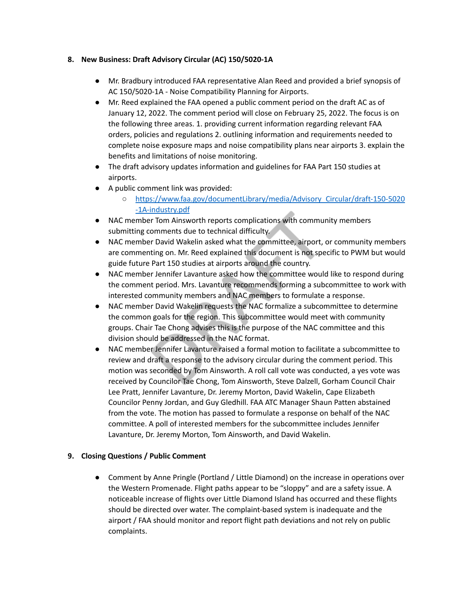## **8. New Business: Draft Advisory Circular (AC) 150/5020-1A**

- Mr. Bradbury introduced FAA representative Alan Reed and provided a brief synopsis of AC 150/5020-1A - Noise Compatibility Planning for Airports.
- Mr. Reed explained the FAA opened a public comment period on the draft AC as of January 12, 2022. The comment period will close on February 25, 2022. The focus is on the following three areas. 1. providing current information regarding relevant FAA orders, policies and regulations 2. outlining information and requirements needed to complete noise exposure maps and noise compatibility plans near airports 3. explain the benefits and limitations of noise monitoring.
- The draft advisory updates information and guidelines for FAA Part 150 studies at airports.
- A public comment link was provided:
	- [https://www.faa.gov/documentLibrary/media/Advisory\\_Circular/draft-150-5020](https://www.faa.gov/documentLibrary/media/Advisory_Circular/draft-150-5020-1A-industry.pdf) [-1A-industry.pdf](https://www.faa.gov/documentLibrary/media/Advisory_Circular/draft-150-5020-1A-industry.pdf)
- NAC member Tom Ainsworth reports complications with community members submitting comments due to technical difficulty.
- NAC member David Wakelin asked what the committee, airport, or community members are commenting on. Mr. Reed explained this document is not specific to PWM but would guide future Part 150 studies at airports around the country.
- NAC member Jennifer Lavanture asked how the committee would like to respond during the comment period. Mrs. Lavanture recommends forming a subcommittee to work with interested community members and NAC members to formulate a response.
- NAC member David Wakelin requests the NAC formalize a subcommittee to determine the common goals for the region. This subcommittee would meet with community groups. Chair Tae Chong advises this is the purpose of the NAC committee and this division should be addressed in the NAC format.
- NAC member Jennifer Lavanture raised a formal motion to facilitate a subcommittee to review and draft a response to the advisory circular during the comment period. This motion was seconded by Tom Ainsworth. A roll call vote was conducted, a yes vote was received by Councilor Tae Chong, Tom Ainsworth, Steve Dalzell, Gorham Council Chair Lee Pratt, Jennifer Lavanture, Dr. Jeremy Morton, David Wakelin, Cape Elizabeth Councilor Penny Jordan, and Guy Gledhill. FAA ATC Manager Shaun Patten abstained from the vote. The motion has passed to formulate a response on behalf of the NAC committee. A poll of interested members for the subcommittee includes Jennifer Lavanture, Dr. Jeremy Morton, Tom Ainsworth, and David Wakelin.

# **9. Closing Questions / Public Comment**

● Comment by Anne Pringle (Portland / Little Diamond) on the increase in operations over the Western Promenade. Flight paths appear to be "sloppy" and are a safety issue. A noticeable increase of flights over Little Diamond Island has occurred and these flights should be directed over water. The complaint-based system is inadequate and the airport / FAA should monitor and report flight path deviations and not rely on public complaints.